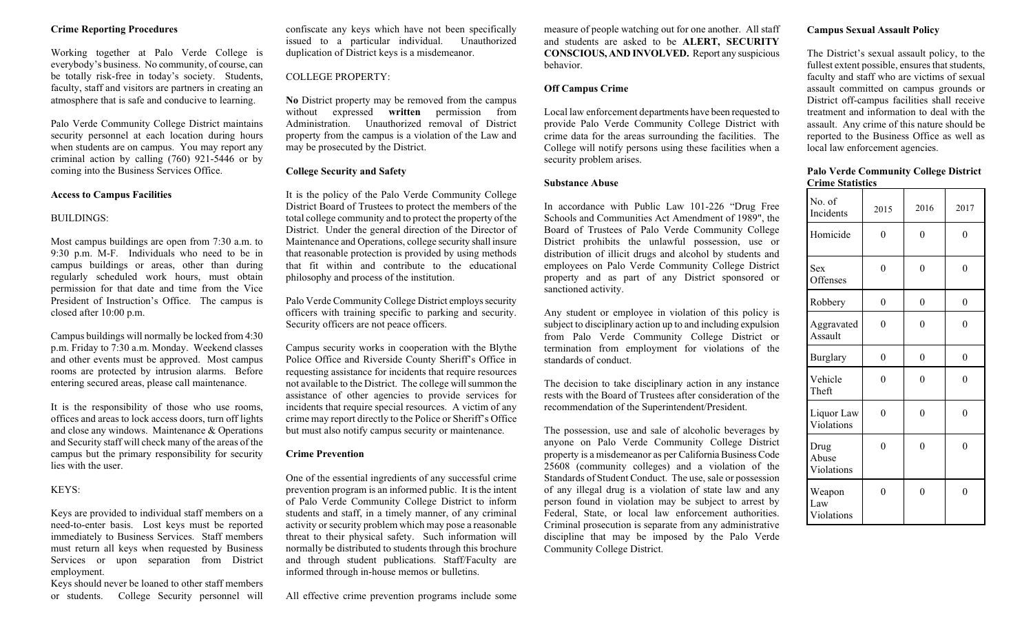#### **Crime Reporting Procedures**

Working together at Palo Verde College is everybody's business. No community, of course, can be totally risk-free in today's society. Students, faculty, staff and visitors are partners in creating an atmosphere that is safe and conducive to learning.

Palo Verde Community College District maintains security personnel at each location during hours when students are on campus. You may report any criminal action by calling (760) 921-5446 or by coming into the Business Services Office.

#### **Access to Campus Facilities**

#### BUILDINGS:

Most campus buildings are open from 7:30 a.m. to 9:30 p.m. M-F. Individuals who need to be in campus buildings or areas, other than during regularly scheduled work hours, must obtain permission for that date and time from the Vice President of Instruction's Office. The campus is closed after 10:00 p.m.

Campus buildings will normally be locked from 4:30 p.m. Friday to 7:30 a.m. Monday. Weekend classes and other events must be approved. Most campus rooms are protected by intrusion alarms. Before entering secured areas, please call maintenance.

It is the responsibility of those who use rooms, offices and areas to lock access doors, turn off lights and close any windows. Maintenance & Operations and Security staff will check many of the areas of the campus but the primary responsibility for security lies with the user.

#### KEYS:

Keys are provided to individual staff members on a need-to-enter basis. Lost keys must be reported immediately to Business Services. Staff members must return all keys when requested by Business Services or upon separation from District employment.

Keys should never be loaned to other staff members or students. College Security personnel will confiscate any keys which have not been specifically issued to a particular individual. Unauthorized duplication of District keys is a misdemeanor.

#### COLLEGE PROPERTY:

**No** District property may be removed from the campus without expressed **written** permission from Administration. Unauthorized removal of District property from the campus is a violation of the Law and may be prosecuted by the District.

#### **College Security and Safety**

It is the policy of the Palo Verde Community College District Board of Trustees to protect the members of the total college community and to protect the property of the District. Under the general direction of the Director of Maintenance and Operations, college security shall insure that reasonable protection is provided by using methods that fit within and contribute to the educational philosophy and process of the institution.

Palo Verde Community College District employs security officers with training specific to parking and security. Security officers are not peace officers.

Campus security works in cooperation with the Blythe Police Office and Riverside County Sheriff's Office in requesting assistance for incidents that require resources not available to the District. The college will summon the assistance of other agencies to provide services for incidents that require special resources. A victim of any crime may report directly to the Police or Sheriff's Office but must also notify campus security or maintenance.

#### **Crime Prevention**

One of the essential ingredients of any successful crime prevention program is an informed public. It is the intent of Palo Verde Community College District to inform students and staff, in a timely manner, of any criminal activity or security problem which may pose a reasonable threat to their physical safety. Such information will normally be distributed to students through this brochure and through student publications. Staff/Faculty are informed through in-house memos or bulletins.

All effective crime prevention programs include some

measure of people watching out for one another. All staff and students are asked to be **ALERT, SECURITY CONSCIOUS, AND INVOLVED.** Report any suspicious behavior.

#### **Off Campus Crime**

Local law enforcement departments have been requested to provide Palo Verde Community College District with crime data for the areas surrounding the facilities. The College will notify persons using these facilities when a security problem arises.

#### **Substance Abuse**

In accordance with Public Law 101-226 "Drug Free Schools and Communities Act Amendment of 1989", the Board of Trustees of Palo Verde Community College District prohibits the unlawful possession, use or distribution of illicit drugs and alcohol by students and employees on Palo Verde Community College District property and as part of any District sponsored or sanctioned activity.

Any student or employee in violation of this policy is subject to disciplinary action up to and including expulsion from Palo Verde Community College District or termination from employment for violations of the standards of conduct.

The decision to take disciplinary action in any instance rests with the Board of Trustees after consideration of the recommendation of the Superintendent/President.

The possession, use and sale of alcoholic beverages by anyone on Palo Verde Community College District property is a misdemeanor as per California Business Code 25608 (community colleges) and a violation of the Standards of Student Conduct. The use, sale or possession of any illegal drug is a violation of state law and any person found in violation may be subject to arrest by Federal, State, or local law enforcement authorities. Criminal prosecution is separate from any administrative discipline that may be imposed by the Palo Verde Community College District.

#### **Campus Sexual Assault Policy**

The District's sexual assault policy, to the fullest extent possible, ensures that students, faculty and staff who are victims of sexual assault committed on campus grounds or District off-campus facilities shall receive treatment and information to deal with the assault. Any crime of this nature should be reported to the Business Office as well as local law enforcement agencies.

#### **Palo Verde Community College District Crime Statistics**

| No. of<br>Incidents         | 2015             | 2016     | 2017     |
|-----------------------------|------------------|----------|----------|
| Homicide                    | 0                | 0        | $\theta$ |
| Sex<br>Offenses             | $\Omega$         | $\theta$ | $\theta$ |
| Robbery                     | $\boldsymbol{0}$ | $\theta$ | $\theta$ |
| Aggravated<br>Assault       | 0                | 0        | 0        |
| <b>Burglary</b>             | 0                | 0        | 0        |
| Vehicle<br>Theft            | 0                | 0        | $\theta$ |
| Liquor Law<br>Violations    | $\Omega$         | $\theta$ | $\theta$ |
| Drug<br>Abuse<br>Violations | 0                | $\Omega$ | $\Omega$ |
| Weapon<br>Law<br>Violations | 0                | 0        | $\Omega$ |